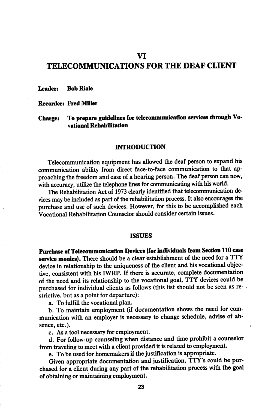# VI TELECOMMUNICATIONS FOR THE DEAF CLIENT

Leader: Bob Riale

Recorder: FredMiUer

Charge: To prepare guidelines for telecommunication services through Vovational Rehabilitation

#### **INTRODUCTION**

Telecommunication equipment has allowed the deaf person to expand his communication ability from direct face-to-face communication to that ap proaching the freedom and ease of a hearing person. The deaf person can now, with accuracy, utilize the telephone lines for communicating with his world.

The Rehabilitation Act of 1973 clearly identified that telecommunication de vices may be included as part of the rehabilitation process. It also encourages the purchase and use of such devices. However, for this to be accomplished each Vocational Rehabilitation Counselor should consider certain issues.

#### ISSUES

Purchase of Telecommunication Devices (for individuals from Section 110 case service monies). There should be a clear establishment of the need for a TTY device in relationship to the uniqueness of the client and his vocational objec tive, consistent with his IWRP. If there is accurate, complete documentation of the need and its relationship to the vocational goal, TTY devices could be purchased for individual clients as follows (this list should not be seen as re strictive, but as a point for departure):

a. To fulfill the vocational plan.

b. To maintain employment (if documentation shows the need for communication with an employer is necessary to change schedule, advise of absence, etc.).

c. As a tool necessary for employment.

d. For follow-up counseling when distance and time prohibit a counselor from traveling to meet with a client provided it is related to employment.

e. To be used for homemakers if the justification is appropriate.

Given appropriate documentation and justification, TTY's could be pur chased for a client during any part of the rehabilitation process with the goal of obtaining or maintaining employment.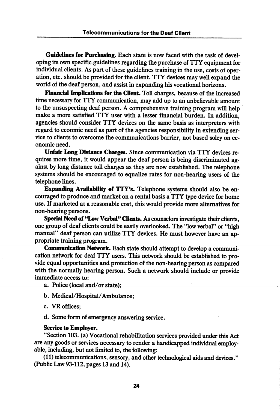Guidelines for Purchasing. Each state is now faced with the task of devel oping its own specific guidelines regarding the purchase of TTY equipment for individual clients. As part of these guidelines training in the use, costs of oper ation, etc. should be provided for the client. TTY devices may well expand the world of the deaf person, and assist in expanding his vocational horizons.

Financial Implications for the Client. Toll charges, because of the increased time necessary for TTY communication, may add up to an unbelievable amount to the unsuspecting deaf person. A comprehensive training program will help make a more satisfied TTY user with a lesser financial burden. In addition, agencies should consider TTY devices on the same basis as interpreters with regard to econmic need as part of the agencies responsibility in extending ser vice to clients to overcome the communications barrier, not based soley on economic need.

Unfair Long Distance Charges. Since communication via TTY devices requires more time, it would appear the deaf person is being discriminated ag ainst by long distance toll charges as they are now established. The telephone systems should be encouraged to equalize rates for non-hearing users of the telephone lines.

Expanding Availability of TTY's. Telephone systems should also be encouraged to produce and market on a rental basis a TTY type device for home use. If marketed at a reasonable cost, this would provide more alternatives for non-hearing persons.

Special Need of "Low Verbal" Clients. As counselors investigate their clients, one group of deaf clients could be easily overlooked. The "low verbal" or "high manual" deaf person can utilize TTY devices. He must however have an ap propriate training program.

Communication Network. Each state should attempt to develop a communication network for deaf TTY users. This network should be established to pro vide equal opportunities and protection of the non-hearing person as compared with the normally hearing person. Such a network should include or provide immediate access to:

- a. Police (local and/or state);
- b. Medical/Hospital/Ambulance;
- c. VR offices;
- d. Some form of emergency answering service.

### Service to Employer.

"Section 103. (a) Vocational rehabilitation services provided under this Act are any goods or services necessary to render a handicapped individual employable, including, but not limited to, the following:

(11) telecommunications, sensory, and other technological aids and devices." (Public Law 93-112, pages 13 and 14).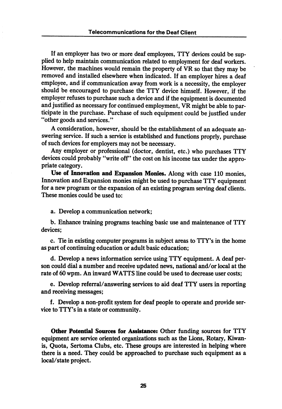If an employer has two or more deaf employees, TTY devices could be sup plied to help maintain communication related to employment for deaf workers. However, the machines would remain the property of VR so that they may be removed and installed elsewhere when indicated. If an employer hires a deaf employee, and if communication away from work is a necessity, the employer should be encouraged to purchase the TTY device himself. However, if the employer refuses to purchase such a device and if the equipment is documented and justified as necessary for continued employment, VR might be able to par ticipate in the purchase. Purchase of such equipment could be justfied under "other goods and services."

A consideration, however, should be the establishment of an adequate an swering service. If such a service is established and functions proprly, purchase of such devices for employers may not be necessary.

Any employer or professional (doctor, dentist, etc.) who purchases TTY devices could probably "write off" the cost on his income tax under the appro priate category.

Use of Innovation and Expansion Monies. Along with case 110 monies. Innovation and Expansion monies might be used to purchase TTY equipment for a new program or the expansion of an existing program serving deaf clients. These monies could be used to:

a. Develop a communication network;

b. Enhance training programs teaching basic use and maintenance of TTY devices;

c. Tie in existing computer programs in subject areas to TTY's in the home as part of continuing education or adult basic education;

d. Develop a news information service using TTY equipment. A deaf per son could dial a number and receive updated news, national and/or local at the rate of 60 wpm. An inward WATTS line could be used to decrease user costs;

e. Develop referral/answering services to aid deaf TTY users in reporting and receiving messages;

f. Develop a non-profit system for deaf people to operate and provide ser vice to TTY's in a state or community.

Other Potential Sources for Assistance: Other funding sources for TTY equipment are service oriented organizations such as the lions. Rotary, Kiwanis. Quota, Sertoma Clubs, etc. These groups are interested in helping where there is a need. They could be approached to purchase such equipment as a local/state project.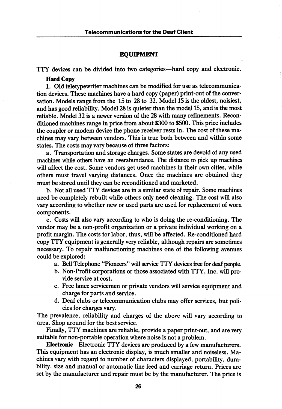#### EQUIPMENT

TTY devices can be divided into two categories—hard copy and electronic.

### Hard Copy

1. Old teletypewriter machines can be modified for use as telecommunica tion devices. These machines have a hard copy (paper) print-out of the conver sation. Models range from the 15 to 28 to 32. Model 15 is the oldest, noisiest, and has good reliability. Model 28 is quieter than the model 15, and is the most reliable. Model 32 is a newer version of the 28 with many refinements. Recon ditioned machines range in price from about \$300 to \$500. This price includes the coupler or modem device the phone receiver rests in. The cost of these ma chines may vary between vendors. This is true both between and within some states. The costs may vary because of three factors:

a. Transportation and storage charges. Some states are devoid of any used machines while others have an overabundance. The distance to pick up machines will affect the cost. Some vendors get used machines in their own cities, while others must travel varying distances. Once the machines are obtained they must be stored until they can be reconditioned and marketed.

b. Not all used TTY devices are in a similar state of repair. Some machines need be completely rebuilt while others only need cleaning. The cost will also vary according to whether new or used parts are used for replacement of worn components.

c. Costs will also vary according to who is doing the re-conditioning. The vendor may be a non-profit organization or a private individual working on a profit margin. The costs for labor, thus, will be affected. Re-conditioned hard copy TTY equipment is generally very reliable, although repairs are sometimes necessary. To repair malfunctioning machines one of the following avenues could be explored:

- a. Bell Telephone "Pioneers" will service TTY devices free for deaf people.
- b. Non-Profit corporations or those associated with TTY, Inc. will pro vide service at cost.
- c. Free lance servicemen or private vendors will service equipment and charge for parts and service.
- d. Deaf clubs or telecommunication clubs may offer services, but poli cies for charges vary.

The prevalence, reliability and charges of the above will vary according to area. Shop around for the best service.

Finally, TTY machines are reliable, provide a paper print-out, and are very suitable for non-portable operation where noise is not a problem.

Electronic Electronic TTY devices are produced by a few manufacturers. This equipment has an electronic display, is much smaller and noiseless. Ma chines vary with regard to number of characters displayed, portability, dura bility, size and manual or automatic line feed and carriage return. Prices are set by the manufacturer and repair must be by the manufacturer. The price is